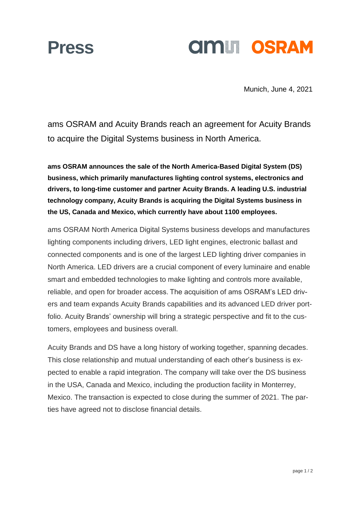### **Press**

## **amil OSRAM**

Munich, June 4, 2021

ams OSRAM and Acuity Brands reach an agreement for Acuity Brands to acquire the Digital Systems business in North America.

**ams OSRAM announces the sale of the North America-Based Digital System (DS) business, which primarily manufactures lighting control systems, electronics and drivers, to long-time customer and partner Acuity Brands. A leading U.S. industrial technology company, Acuity Brands is acquiring the Digital Systems business in the US, Canada and Mexico, which currently have about 1100 employees.** 

ams OSRAM North America Digital Systems business develops and manufactures lighting components including drivers, LED light engines, electronic ballast and connected components and is one of the largest LED lighting driver companies in North America. LED drivers are a crucial component of every luminaire and enable smart and embedded technologies to make lighting and controls more available, reliable, and open for broader access. The acquisition of ams OSRAM's LED drivers and team expands Acuity Brands capabilities and its advanced LED driver portfolio. Acuity Brands' ownership will bring a strategic perspective and fit to the customers, employees and business overall.

Acuity Brands and DS have a long history of working together, spanning decades. This close relationship and mutual understanding of each other's business is expected to enable a rapid integration. The company will take over the DS business in the USA, Canada and Mexico, including the production facility in Monterrey, Mexico. The transaction is expected to close during the summer of 2021. The parties have agreed not to disclose financial details.